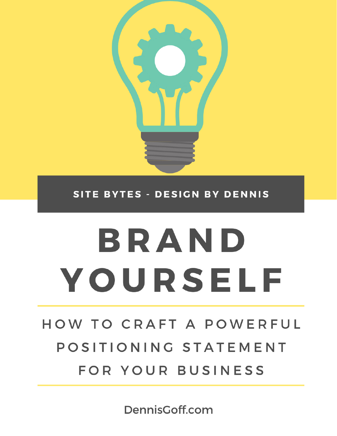

SITE BYTES - DESIGN BY DENNIS

# BRAND YOURSELF

HOW TO CRAFT A POWERFUL POSITIONING STATEMENT FOR YOUR BUSINESS

DennisGoff.com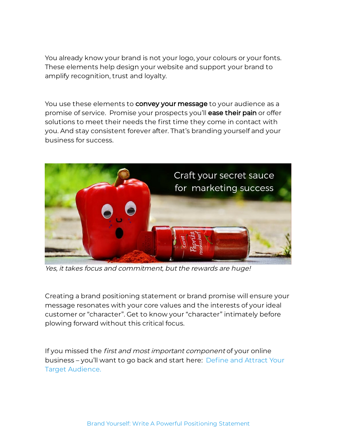You already know your brand is not your logo, your colours or your fonts. These elements help design your website and support your brand to amplify recognition, trust and loyalty.

You use these elements to **convey your message** to your audience as a promise of service. Promise your prospects you'll **ease their pain** or offer solutions to meet their needs the first time they come in contact with you. And stay consistent forever after. That's branding yourself and your business for success.



Yes, it takes focus and commitment, but the rewards are huge!

Creating a brand positioning statement or brand promise will ensure your message resonates with your core values and the interests of your ideal customer or "character". Get to know your "character" intimately before plowing forward without this critical focus.

If you missed the *first and most important component* of your online business – you'll want to go back and start here: Define and Attract Your Target [Audience.](http://dennisgoff.com/define-target-audience/)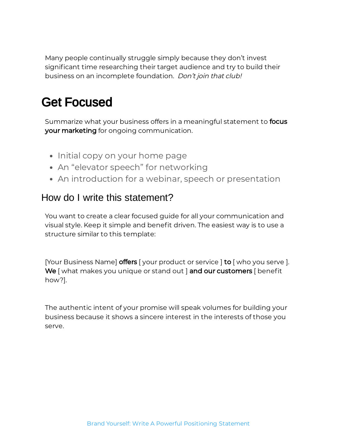Many people continually struggle simply because they don't invest significant time researching their target audience and try to build their business on an incomplete foundation. Don't join that club!

# Get Focused

Summarize what your business offers in a meaningful statement to **focus your marketing** for ongoing communication.

- Initial copy on your home page
- An "elevator speech" for networking
- An introduction for a webinar, speech or presentation

#### How do I write this statement?

You want to create a clear focused guide for all your communication and visual style. Keep it simple and benefit driven. The easiest way is to use a structure similar to this template:

[Your Business Name] **offers** [your product or service ] **to** [ who you serve ]. **We** [ what makes you unique or stand out ] **and our customers** [ benefit how?].

The authentic intent of your promise will speak volumes for building your business because it shows a sincere interest in the interests of those you serve.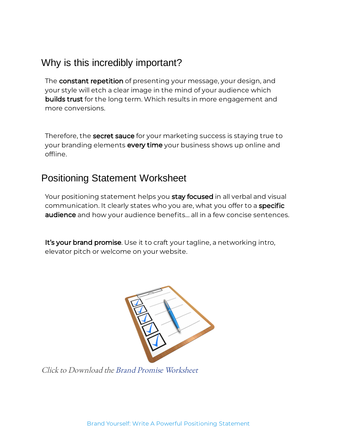## Why is this incredibly important?

The **constant repetition** of presenting your message, your design, and your style will etch a clear image in the mind of your audience which **builds trust** for the long term. Which results in more engagement and more conversions.

Therefore, the **secret sauce** for your marketing success is staying true to your branding elements **every time** your business shows up online and offline.

## Positioning Statement Worksheet

Your positioning statement helps you **stay focused** in all verbal and visual communication. It clearly states who you are, what you offer to a **specific audience** and how your audience benefits... all in a few concise sentences.

It's your brand promise. Use it to craft your tagline, a networking intro, elevator pitch or welcome on your website.



Click to Download the Brand Promise Worksheet